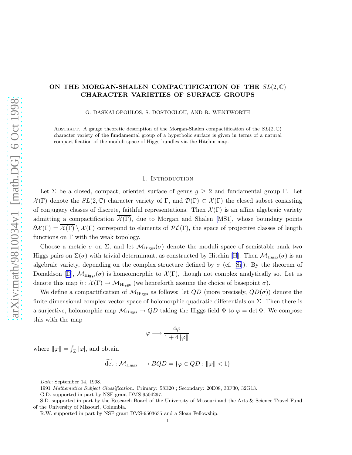## ON THE MORGAN-SHALEN COMPACTIFICATION OF THE  $SL(2,\mathbb{C})$ CHARACTER VARIETIES OF SURFACE GROUPS

G. DASKALOPOULOS, S. DOSTOGLOU, AND R. WENTWORTH

ABSTRACT. A gauge theoretic description of the Morgan-Shalen compactification of the  $SL(2,\mathbb{C})$ character variety of the fundamental group of a hyperbolic surface is given in terms of a natural compactification of the moduli space of Higgs bundles via the Hitchin map.

#### 1. Introduction

Let  $\Sigma$  be a closed, compact, oriented surface of genus  $g \geq 2$  and fundamental group Γ. Let  $\mathcal{X}(\Gamma)$  denote the  $SL(2,\mathbb{C})$  character variety of  $\Gamma$ , and  $\mathcal{D}(\Gamma) \subset \mathcal{X}(\Gamma)$  the closed subset consisting of conjugacy classes of discrete, faithful representations. Then  $\mathcal{X}(\Gamma)$  is an affine algebraic variety admitting a compactification  $\overline{\mathcal{X}(\Gamma)}$ , due to Morgan and Shalen [\[MS1](#page-16-0)], whose boundary points  $\partial \mathcal{X}(\Gamma) = \overline{\mathcal{X}(\Gamma)} \setminus \mathcal{X}(\Gamma)$  correspond to elements of  $\mathcal{PL}(\Gamma)$ , the space of projective classes of length functions on  $\Gamma$  with the weak topology.

Choose a metric  $\sigma$  on  $\Sigma$ , and let  $\mathcal{M}_{\text{Higgs}}(\sigma)$  denote the moduli space of semistable rank two Higgs pairs on  $\Sigma(\sigma)$  with trivial determinant, as constructed by Hitchin [\[H](#page-16-0)]. Then  $\mathcal{M}_{\text{Higgs}}(\sigma)$  is an algebraicvariety, depending on the complex structure defined by  $\sigma$  (cf. [[Si\]](#page-16-0)). By the theorem of Donaldson [\[D](#page-16-0)],  $\mathcal{M}_{\text{Higgs}}(\sigma)$  is homeomorphic to  $\mathcal{X}(\Gamma)$ , though not complex analytically so. Let us denote this map  $h : \mathcal{X}(\Gamma) \to \mathcal{M}_{\text{Higgs}}$  (we henceforth assume the choice of basepoint  $\sigma$ ).

We define a compactification of  $\mathcal{M}_{\text{Higgs}}$  as follows: let  $QD$  (more precisely,  $QD(\sigma)$ ) denote the finite dimensional complex vector space of holomorphic quadratic differentials on  $\Sigma$ . Then there is a surjective, holomorphic map  $\mathcal{M}_{\text{Higgs}} \to QD$  taking the Higgs field  $\Phi$  to  $\varphi = \det \Phi$ . We compose this with the map

$$
\varphi \longrightarrow \frac{4\varphi}{1+4\|\varphi\|}
$$

where  $\|\varphi\| = \int_{\Sigma} |\varphi|$ , and obtain

$$
\det: \mathcal{M}_{\text{Higgs}} \longrightarrow BQD = \{ \varphi \in QD : ||\varphi|| < 1 \}
$$

*Date*: September 14, 1998.

<sup>1991</sup> *Mathematics Subject Classification.* Primary: 58E20 ; Secondary: 20E08, 30F30, 32G13.

G.D. supported in part by NSF grant DMS-9504297.

S.D. supported in part by the Research Board of the University of Missouri and the Arts & Science Travel Fund of the University of Missouri, Columbia.

R.W. supported in part by NSF grant DMS-9503635 and a Sloan Fellowship.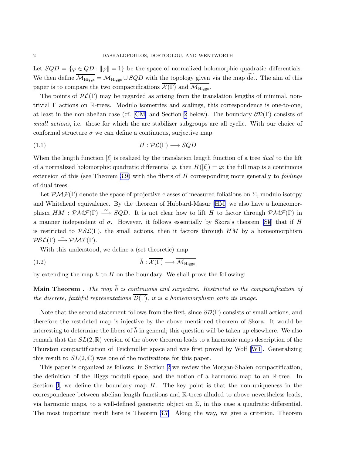<span id="page-1-0"></span>Let  $SQD = \{\varphi \in QD : ||\varphi|| = 1\}$  be the space of normalized holomorphic quadratic differentials. We then define  $\overline{\mathcal{M}_{\text{Higgs}}} = \mathcal{M}_{\text{Higgs}} \cup SQD$  with the topology given via the map det. The aim of this paper is to compare the two compactifications  $\mathcal{X}(\Gamma)$  and  $\overline{\mathcal{M}_{\text{Higgs}}}\$ .

The points of  $\mathcal{PL}(\Gamma)$  may be regarded as arising from the translation lengths of minimal, nontrivial Γ actions on R-trees. Modulo isometries and scalings, this correspondence is one-to-one, at least in the non-abelian case (cf. [\[CM\]](#page-16-0) and Section [2](#page-2-0) below). The boundary  $\partial \mathcal{D}(\Gamma)$  consists of *small actions*, i.e. those for which the arc stabilizer subgroups are all cyclic. With our choice of conformal structure  $\sigma$  we can define a continuous, surjective map

$$
(1.1)\quad H: \mathcal{PL}(\Gamma) \longrightarrow SQD
$$

When the length function [ℓ] is realized by the translation length function of a tree *dual* to the lift of a normalized holomorphic quadratic differential  $\varphi$ , then  $H([\ell]) = \varphi$ ; the full map is a continuous extension of this (see Theorem [3.9\)](#page-11-0) with the fibers of H corresponding more generally to *foldings* of dual trees.

Let  $\mathcal{PMF}(\Gamma)$  denote the space of projective classes of measured foliations on  $\Sigma$ , modulo isotopy and Whitehead equivalence. By the theorem of Hubbard-Masur [\[HM\]](#page-16-0) we also have a homeomorphism  $HM : \mathcal{PMF}(\Gamma) \longrightarrow SQD$ . It is not clear how to lift H to factor through  $\mathcal{PMF}(\Gamma)$  in a manner independent of  $\sigma$ . However, it follows essentially by Skora's theorem [\[Sk](#page-16-0)] that if H is restricted to  $PSL(\Gamma)$ , the small actions, then it factors through HM by a homeomorphism  $PSL(\Gamma) \stackrel{\sim}{\longrightarrow} PMF(\Gamma).$ 

With this understood, we define a (set theoretic) map

$$
\bar{h}: \overline{\mathcal{X}(\Gamma)} \longrightarrow \overline{\mathcal{M}_{\text{Higgs}}}
$$

by extending the map  $h$  to  $H$  on the boundary. We shall prove the following:

**Main Theorem .** The map  $\bar{h}$  is continuous and surjective. Restricted to the compactification of *the discrete, faithful representations*  $\overline{\mathcal{D}(\Gamma)}$ *, it is a homeomorphism onto its image.* 

Note that the second statement follows from the first, since  $\partial \mathcal{D}(\Gamma)$  consists of small actions, and therefore the restricted map is injective by the above mentioned theorem of Skora. It would be interesting to determine the fibers of h in general; this question will be taken up elsewhere. We also remark that the  $SL(2,\mathbb{R})$  version of the above theorem leads to a harmonic maps description of the Thurston compactification of Teichmüller space and was first proved by Wolf  $[W1]$ . Generalizing this result to  $SL(2,\mathbb{C})$  was one of the motivations for this paper.

This paper is organized as follows: in Section [2](#page-2-0) we review the Morgan-Shalen compactification, the definition of the Higgs moduli space, and the notion of a harmonic map to an R-tree. In Section [3](#page-5-0), we define the boundary map  $H$ . The key point is that the non-uniqueness in the correspondence between abelian length functions and R-trees alluded to above nevertheless leads, via harmonic maps, to a well-defined geometric object on Σ, in this case a quadratic differential. The most important result here is Theorem [3.7.](#page-8-0) Along the way, we give a criterion, Theorem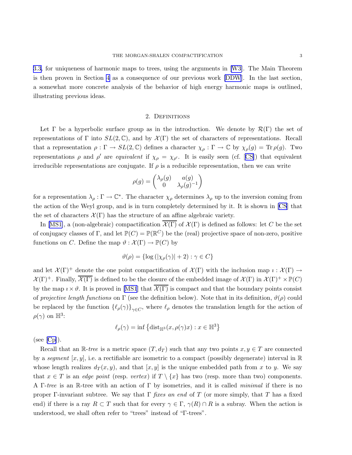<span id="page-2-0"></span>[3.3,](#page-6-0) for uniqueness of harmonic maps to trees, using the arguments in [\[W3\]](#page-16-0). The Main Theorem is then proven in Section [4](#page-11-0) as a consequence of our previous work [\[DDW](#page-16-0)]. In the last section, a somewhat more concrete analysis of the behavior of high energy harmonic maps is outlined, illustrating previous ideas.

#### 2. DEFINITIONS

Let  $\Gamma$  be a hyperbolic surface group as in the introduction. We denote by  $\mathcal{R}(\Gamma)$  the set of representations of Γ into  $SL(2,\mathbb{C})$ , and by  $\mathcal{X}(\Gamma)$  the set of characters of representations. Recall that a representation  $\rho : \Gamma \to SL(2, \mathbb{C})$  defines a character  $\chi_{\rho} : \Gamma \to \mathbb{C}$  by  $\chi_{\rho}(g) = \text{Tr} \rho(g)$ . Two representations $\rho$  and  $\rho'$  are *equivalent* if  $\chi_{\rho} = \chi_{\rho'}$ . It is easily seen (cf. [[CS\]](#page-16-0)) that equivalent irreducible representations are conjugate. If  $\rho$  is a reducible representation, then we can write

$$
\rho(g)=\begin{pmatrix} \lambda_\rho(g) & a(g) \\ 0 & \lambda_\rho(g)^{-1} \end{pmatrix}
$$

for a representation  $\lambda_\rho : \Gamma \to \mathbb{C}^*$ . The character  $\chi_\rho$  determines  $\lambda_\rho$  up to the inversion coming from the action of the Weyl group, and is in turn completely determined by it. It is shown in [\[CS](#page-16-0)] that the set of characters  $\mathcal{X}(\Gamma)$  has the structure of an affine algebraic variety.

In [\[MS1\]](#page-16-0), a (non-algebraic) compactification  $\overline{\mathcal{X}(\Gamma)}$  of  $\mathcal{X}(\Gamma)$  is defined as follows: let C be the set of conjugacy classes of  $\Gamma$ , and let  $\mathbb{P}(C) = \mathbb{P}(\mathbb{R}^C)$  be the (real) projective space of non-zero, positive functions on C. Define the map  $\vartheta : \mathcal{X}(\Gamma) \to \mathbb{P}(C)$  by

$$
\vartheta(\rho) = \{ \log \left( |\chi_{\rho}(\gamma)| + 2 \right) : \gamma \in C \}
$$

and let  $\mathcal{X}(\Gamma)^+$  denote the one point compactification of  $\mathcal{X}(\Gamma)$  with the inclusion map  $\imath : \mathcal{X}(\Gamma) \to$  $\mathcal{X}(\Gamma)^+$ . Finally,  $\overline{\mathcal{X}(\Gamma)}$  is defined to be the closure of the embedded image of  $\mathcal{X}(\Gamma)$  in  $\mathcal{X}(\Gamma)^+ \times \mathbb{P}(C)$ by the map  $i \times \vartheta$ . It is proved in [\[MS1](#page-16-0)] that  $\mathcal{X}(\Gamma)$  is compact and that the boundary points consist of *projective length functions* on  $\Gamma$  (see the definition below). Note that in its definition,  $\vartheta(\rho)$  could be replaced by the function  $\{\ell_{\rho}(\gamma)\}_{\gamma \in C}$ , where  $\ell_{\rho}$  denotes the translation length for the action of  $\rho(\gamma)$  on  $\mathbb{H}^3$ :

$$
\ell_{\rho}(\gamma) = \inf \left\{ \mathrm{dist}_{\mathbb{H}^3}(x, \rho(\gamma)x) : x \in \mathbb{H}^3 \right\}
$$

 $(see [Cp]).$  $(see [Cp]).$  $(see [Cp]).$  $(see [Cp]).$  $(see [Cp]).$ 

Recall that an  $\mathbb{R}$ -tree is a metric space  $(T, d_T)$  such that any two points  $x, y \in T$  are connected by a *segment*  $[x, y]$ , i.e. a rectifiable arc isometric to a compact (possibly degenerate) interval in  $\mathbb R$ whose length realizes  $d_T(x,y)$ , and that  $[x,y]$  is the unique embedded path from x to y. We say that  $x \in T$  is an *edge point* (resp. *vertex*) if  $T \setminus \{x\}$  has two (resp. more than two) components. A Γ-*tree* is an R-tree with an action of Γ by isometries, and it is called *minimal* if there is no proper Γ-invariant subtree. We say that Γ *fixes an end* of T (or more simply, that T has a fixed end) if there is a ray  $R \subset T$  such that for every  $\gamma \in \Gamma$ ,  $\gamma(R) \cap R$  is a subray. When the action is understood, we shall often refer to "trees" instead of "Γ-trees".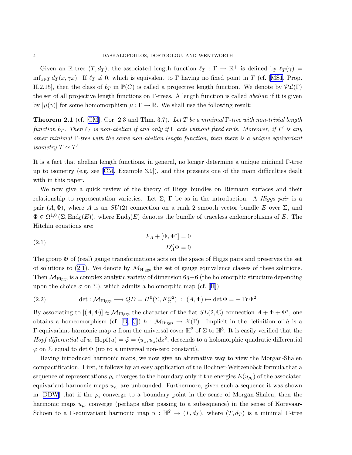<span id="page-3-0"></span>Given an R-tree  $(T, d_T)$ , the associated length function  $\ell_T : \Gamma \to \mathbb{R}^+$  is defined by  $\ell_T(\gamma) =$ inf<sub>x∈T</sub> $d_T(x, \gamma x)$ . If  $\ell_T \neq 0$ , which is equivalent to Γ having no fixed point in T (cf. [[MS1](#page-16-0), Prop. II.2.15], then the class of  $\ell_T$  in  $\mathbb{P}(C)$  is called a projective length function. We denote by  $\mathcal{PL}(\Gamma)$ the set of all projective length functions on Γ-trees. A length function is called *abelian* if it is given by  $|\mu(\gamma)|$  for some homomorphism  $\mu : \Gamma \to \mathbb{R}$ . We shall use the following result:

Theorem 2.1 (cf. [\[CM](#page-16-0)], Cor. 2.3 and Thm. 3.7). *Let* T *be a minimal* Γ*-tree with non-trivial length*  $function \ell_T$ . Then  $\ell_T$  is non-abelian if and only if  $\Gamma$  acts without fixed ends. Moreover, if  $T'$  is any *other minimal* Γ*-tree with the same non-abelian length function, then there is a unique equivariant isometry*  $T \simeq T'$ .

It is a fact that abelian length functions, in general, no longer determine a unique minimal Γ-tree up to isometry (e.g. see [\[CM](#page-16-0), Example 3.9]), and this presents one of the main difficulties dealt with in this paper.

We now give a quick review of the theory of Higgs bundles on Riemann surfaces and their relationship to representation varieties. Let  $\Sigma$ ,  $\Gamma$  be as in the introduction. A *Higgs pair* is a pair  $(A, \Phi)$ , where A is an  $SU(2)$  connection on a rank 2 smooth vector bundle E over  $\Sigma$ , and  $\Phi \in \Omega^{1,0}(\Sigma, \text{End}_{0}(E)),$  where  $\text{End}_{0}(E)$  denotes the bundle of traceless endomorphisms of E. The Hitchin equations are:

(2.1) 
$$
F_A + [\Phi, \Phi^*] = 0
$$

$$
D''_A \Phi = 0
$$

The group  $\mathfrak G$  of (real) gauge transformations acts on the space of Higgs pairs and preserves the set of solutions to (2.1). We denote by  $\mathcal{M}_{\text{Higgs}}$  the set of gauge equivalence classes of these solutions. Then  $\mathcal{M}_{\text{Higgs}}$  is a complex analytic variety of dimension 6g−6 (the holomorphic structure depending uponthe choice  $\sigma$  on  $\Sigma$ ), which admits a holomorphic map (cf. [[H\]](#page-16-0))

(2.2) 
$$
\det : \mathcal{M}_{\text{Higgs}} \longrightarrow QD = H^0(\Sigma, K_{\Sigma}^{\otimes 2}) : (A, \Phi) \mapsto \det \Phi = -\operatorname{Tr} \Phi^2
$$

By associating to  $[(A, \Phi)] \in \mathcal{M}_{\text{Higgs}}$  the character of the flat  $SL(2,\mathbb{C})$  connection  $A + \Phi + \Phi^*$ , one obtainsa homeomorphism (cf. [[D](#page-16-0), [C\]](#page-16-0))  $h : \mathcal{M}_{\text{Higgs}} \to \mathcal{X}(\Gamma)$ . Implicit in the definition of h is a Γ-equivariant harmonic map u from the universal cover  $\mathbb{H}^2$  of  $\Sigma$  to  $\mathbb{H}^3$ . It is easily verified that the *Hopf differential* of u,  $Hopf(u) = \tilde{\varphi} = \langle u_z, u_z \rangle dz^2$ , descends to a holomorphic quadratic differential  $\varphi$  on  $\Sigma$  equal to det  $\Phi$  (up to a universal non-zero constant).

Having introduced harmonic maps, we now give an alternative way to view the Morgan-Shalen compactification. First, it follows by an easy application of the Bochner-Weitzenböck formula that a sequence of representations  $\rho_i$  diverges to the boundary only if the energies  $E(u_{\rho_i})$  of the associated equivariant harmonic maps  $u_{\rho_i}$  are unbounded. Furthermore, given such a sequence it was shown in[[DDW](#page-16-0)] that if the  $\rho_i$  converge to a boundary point in the sense of Morgan-Shalen, then the harmonic maps  $u_{\rho_i}$  converge (perhaps after passing to a subsequence) in the sense of Korevaar-Schoen to a Γ-equivariant harmonic map  $u : \mathbb{H}^2 \to (T, d_T)$ , where  $(T, d_T)$  is a minimal Γ-tree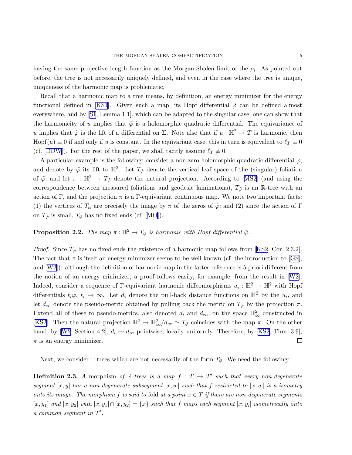<span id="page-4-0"></span>having the same projective length function as the Morgan-Shalen limit of the  $\rho_i$ . As pointed out before, the tree is not necessarily uniquely defined, and even in the case where the tree is unique, uniqueness of the harmonic map is problematic.

Recall that a harmonic map to a tree means, by definition, an energy minimizer for the energy functional defined in [\[KS1](#page-16-0)]. Given such a map, its Hopf differential  $\tilde{\varphi}$  can be defined almost everywhere, and by[[S1](#page-16-0), Lemma 1.1], which can be adapted to the singular case, one can show that the harmonicity of u implies that  $\tilde{\varphi}$  is a holomorphic quadratic differential. The equivariance of u implies that  $\tilde{\varphi}$  is the lift of a differential on  $\Sigma$ . Note also that if  $u : \mathbb{H}^2 \to T$  is harmonic, then Hopf(u)  $\equiv 0$  if and only if u is constant. In the equivariant case, this in turn is equivalent to  $\ell_T \equiv 0$ (cf.[[DDW](#page-16-0)]). For the rest of the paper, we shall tacitly assume  $\ell_T \neq 0$ .

A particular example is the following: consider a non-zero holomorphic quadratic differential  $\varphi$ , and denote by  $\tilde{\varphi}$  its lift to  $\mathbb{H}^2$ . Let  $T_{\tilde{\varphi}}$  denote the vertical leaf space of the (singular) foliation of $\tilde{\varphi}$ , and let  $\pi : \mathbb{H}^2 \to T_{\tilde{\varphi}}$  denote the natural projection. According to [[MS2](#page-16-0)] (and using the correspondence between measured foliations and geodesic laminations),  $T_{\tilde{\varphi}}$  is an R-tree with an action of Γ, and the projection  $\pi$  is a Γ-equivariant continuous map. We note two important facts: (1) the vertices of  $T_{\tilde{\varphi}}$  are precisely the image by  $\pi$  of the zeros of  $\tilde{\varphi}$ ; and (2) since the action of Γ on $T_{\tilde{\varphi}}$  is small,  $T_{\tilde{\varphi}}$  has no fixed ends (cf. [[MO](#page-16-0)]).

# **Proposition 2.2.** *The map*  $\pi : \mathbb{H}^2 \to T_{\tilde{\varphi}}$  *is harmonic with Hopf differential*  $\tilde{\varphi}$ *.*

*Proof.* Since  $T_{\tilde{\varphi}}$  has no fixed ends the existence of a harmonic map follows from [\[KS2](#page-16-0), Cor. 2.3.2]. The fact that  $\pi$  is itself an energy minimizer seems to be well-known (cf. the introduction to [\[GS\]](#page-16-0), and $[W2]$  $[W2]$  $[W2]$ : although the definition of harmonic map in the latter reference is à priori different from the notion of an energy minimizer, a proof follows easily, for example, from the result in [\[W2\]](#page-16-0). Indeed, consider a sequence of  $\Gamma$ -equivariant harmonic diffeomorphisms  $u_i : \mathbb{H}^2 \to \mathbb{H}^2$  with Hopf differentials  $t_i\tilde{\varphi}$ ,  $t_i \to \infty$ . Let  $d_i$  denote the pull-back distance functions on  $\mathbb{H}^2$  by the  $u_i$ , and let  $d_{\infty}$  denote the pseudo-metric obtained by pulling back the metric on  $T_{\tilde{\varphi}}$  by the projection  $\pi$ . Extend all of these to pseudo-metrics, also denoted  $d_i$  and  $d_{\infty}$ , on the space  $\mathbb{H}^2_{\infty}$  constructed in [[KS2\]](#page-16-0). Then the natural projection  $\mathbb{H}^2 \to \mathbb{H}^2_{\infty}/d_{\infty} \simeq T_{\tilde{\varphi}}$  coincides with the map  $\pi$ . On the other hand,by [[W2](#page-16-0), Section 4.2],  $d_i \rightarrow d_\infty$  pointwise, locally uniformly. Therefore, by [\[KS2](#page-16-0), Thm. 3.9],  $\Box$  $\pi$  is an energy minimizer.

Next, we consider Γ-trees which are not necessarily of the form  $T_{\tilde{\varphi}}$ . We need the following:

**Definition 2.3.** A morphism of  $\mathbb{R}$ -trees is a map  $f : T \rightarrow T'$  such that every non-degenerate *segment* [x,y] *has a non-degenerate subsegment* [x,w] *such that* f *restricted to* [x,w] *is a isometry onto its image. The morphism* f *is said to fold at a point*  $x \in T$  *if there are non-degenerate segments*  $[x,y_1]$  and  $[x,y_2]$  with  $[x,y_1] \cap [x,y_2] = \{x\}$  such that f maps each segment  $[x,y_i]$  isometrically onto *a common segment in* T ′ *.*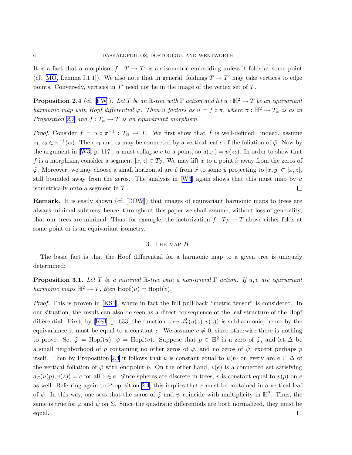<span id="page-5-0"></span>It is a fact that a morphism  $f: T \to T'$  is an isometric embedding unless it folds at some point (cf. [\[MO,](#page-16-0) Lemma I.1.1]). We also note that in general, foldings  $T \to T'$  may take vertices to edge points. Conversely, vertices in  $T'$  need not lie in the image of the vertex set of  $T$ .

**Proposition 2.4** (cf. [\[FW](#page-16-0)]). *Let* T *be an* R*-tree with*  $\Gamma$  *action and let*  $u : \mathbb{H}^2 \to T$  *be an equivariant harmonic map with Hopf differential*  $\tilde{\varphi}$ *. Then* u *factors as*  $u = f \circ \pi$ *, where*  $\pi : \mathbb{H}^2 \to T_{\tilde{\varphi}}$  *is as in Proposition* [2.2](#page-4-0) *and*  $f: T_{\tilde{\varphi}} \to T$  *is an equivariant morphism.* 

*Proof.* Consider  $f = u \circ \pi^{-1} : T_{\tilde{\varphi}} \to T$ . We first show that f is well-defined: indeed, assume  $z_1, z_2 \in \pi^{-1}(w)$ . Then  $z_1$  and  $z_2$  may be connected by a vertical leaf e of the foliation of  $\tilde{\varphi}$ . Now by the argument in [\[W3,](#page-16-0) p. 117], u must collapse e to a point, so  $u(z_1) = u(z_2)$ . In order to show that f is a morphism, consider a segment  $[x, z] \in T_{\tilde{\varphi}}$ . We may lift x to a point  $\tilde{x}$  away from the zeros of  $\tilde{\varphi}$ . Moreover, we may choose a small horizontal arc  $\tilde{e}$  from  $\tilde{x}$  to some  $\tilde{y}$  projecting to  $[x,y] \subset [x,z]$ , stillbounded away from the zeros. The analysis in [[W3](#page-16-0)] again shows that this must map by  $u$ isometrically onto a segment in T.  $\Box$ 

Remark. It is easily shown (cf.[[DDW](#page-16-0)]) that images of equivariant harmonic maps to trees are always minimal subtrees; hence, throughout this paper we shall assume, without loss of generality, that our trees are minimal. Thus, for example, the factorization  $f: T_{\tilde{\varphi}} \to T$  above either folds at some point or is an equivariant isometry.

## 3. The map H

The basic fact is that the Hopf differential for a harmonic map to a given tree is uniquely determined:

Proposition 3.1. *Let* T *be a minimal* R*-tree with a non-trivial* Γ *action. If* u,v *are equivariant harmonic maps*  $\mathbb{H}^2 \to T$ , then  $\text{Hopf}(u) = \text{Hopf}(v)$ .

*Proof.* This is proven in [\[KS1](#page-16-0)], where in fact the full pull-back "metric tensor" is considered. In our situation, the result can also be seen as a direct consequence of the leaf structure of the Hopf differential. First, by [\[KS1](#page-16-0), p. 633] the function  $z \mapsto d_T^2(u(z), v(z))$  is subharmonic; hence by the equivariance it must be equal to a constant c. We assume  $c \neq 0$ , since otherwise there is nothing to prove. Set  $\tilde{\varphi} = \text{Hopf}(u)$ ,  $\tilde{\psi} = \text{Hopf}(v)$ . Suppose that  $p \in \mathbb{H}^2$  is a zero of  $\tilde{\varphi}$ , and let  $\Delta$  be a small neighborhood of p containing no other zeros of  $\tilde{\varphi}$ , and no zeros of  $\tilde{\psi}$ , except perhaps p itself. Then by Proposition 2.4 it follows that u is constant equal to  $u(p)$  on every arc  $e \subset \Delta$  of the vertical foliation of  $\tilde{\varphi}$  with endpoint p. On the other hand,  $v(e)$  is a connected set satisfying  $d_T(u(p),v(z)) = c$  for all  $z \in e$ . Since spheres are discrete in trees, v is constant equal to  $v(p)$  on e as well. Referring again to Proposition 2.4, this implies that  $e$  must be contained in a vertical leaf of  $\tilde{\psi}$ . In this way, one sees that the zeros of  $\tilde{\varphi}$  and  $\tilde{\psi}$  coincide with multiplicity in  $\mathbb{H}^2$ . Thus, the same is true for  $\varphi$  and  $\psi$  on  $\Sigma$ . Since the quadratic differentials are both normalized, they must be equal. $\Box$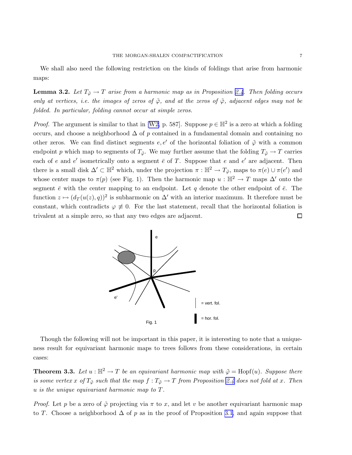<span id="page-6-0"></span>We shall also need the following restriction on the kinds of foldings that arise from harmonic maps:

**Lemma 3.2.** Let  $T_{\tilde{\varphi}} \to T$  arise from a harmonic map as in Proposition [2.4](#page-5-0). Then folding occurs *only at vertices, i.e. the images of zeros of*  $\tilde{\varphi}$ *, and at the zeros of*  $\tilde{\varphi}$ *, adjacent edges may not be folded. In particular, folding cannot occur at simple zeros.*

*Proof.* The argument is similar to that in [\[W2,](#page-16-0) p. 587]. Suppose  $p \in \mathbb{H}^2$  is a zero at which a folding occurs, and choose a neighborhood  $\Delta$  of p contained in a fundamental domain and containing no other zeros. We can find distinct segments  $e, e'$  of the horizontal foliation of  $\tilde{\varphi}$  with a common endpoint p which map to segments of  $T_{\tilde{\varphi}}$ . We may further assume that the folding  $T_{\tilde{\varphi}} \to T$  carries each of e and e' isometrically onto a segment  $\bar{e}$  of T. Suppose that e and e' are adjacent. Then there is a small disk  $\Delta' \subset \mathbb{H}^2$  which, under the projection  $\pi : \mathbb{H}^2 \to T_{\tilde{\varphi}}$ , maps to  $\pi(e) \cup \pi(e')$  and whose center maps to  $\pi(p)$  (see Fig. 1). Then the harmonic map  $u : \mathbb{H}^2 \to T$  maps  $\Delta'$  onto the segment  $\bar{e}$  with the center mapping to an endpoint. Let q denote the other endpoint of  $\bar{e}$ . The function  $z \mapsto (d_T(u(z),q))^2$  is subharmonic on  $\Delta'$  with an interior maximum. It therefore must be constant, which contradicts  $\varphi \neq 0$ . For the last statement, recall that the horizontal foliation is  $\Box$ trivalent at a simple zero, so that any two edges are adjacent.



Though the following will not be important in this paper, it is interesting to note that a uniqueness result for equivariant harmonic maps to trees follows from these considerations, in certain cases:

**Theorem 3.3.** Let  $u : \mathbb{H}^2 \to T$  be an equivariant harmonic map with  $\tilde{\varphi} = \text{Hopf}(u)$ . Suppose there *is some vertex* x of  $T_{\tilde{\varphi}}$  *such that the map*  $f : T_{\tilde{\varphi}} \to T$  *from Proposition [2.4](#page-5-0) does not fold at* x. *Then* u *is the unique equivariant harmonic map to* T*.*

*Proof.* Let p be a zero of  $\tilde{\varphi}$  projecting via  $\pi$  to x, and let v be another equivariant harmonic map to T. Choose a neighborhood  $\Delta$  of p as in the proof of Proposition [3.1](#page-5-0), and again suppose that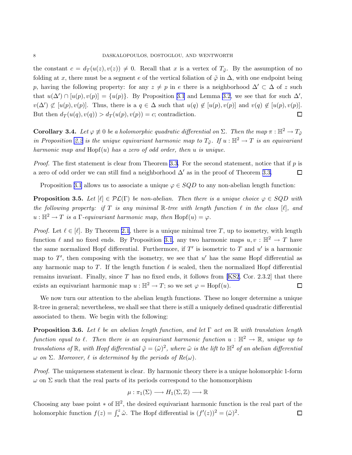<span id="page-7-0"></span>the constant  $c = d_T(u(z), v(z)) \neq 0$ . Recall that x is a vertex of  $T_{\tilde{\varphi}}$ . By the assumption of no folding at x, there must be a segment e of the vertical foliation of  $\tilde{\varphi}$  in  $\Delta$ , with one endpoint being p, having the following property: for any  $z \neq p$  in e there is a neighborhood  $\Delta' \subset \Delta$  of z such that  $u(\Delta') \cap [u(p), v(p)] = \{u(p)\}.$  By Proposition [3.1](#page-5-0) and Lemma [3.2](#page-6-0), we see that for such  $\Delta'$ ,  $v(\Delta') \not\subset [u(p), v(p)]$ . Thus, there is a  $q \in \Delta$  such that  $u(q) \notin [u(p), v(p)]$  and  $v(q) \notin [u(p), v(p)]$ . But then  $d_T(u(q),v(q)) > d_T(u(p),v(p)) = c$ ; contradiction.  $\Box$ 

**Corollary 3.4.** *Let*  $\varphi \neq 0$  *be a holomorphic quadratic differential on*  $\Sigma$ *. Then the map*  $\pi : \mathbb{H}^2 \to T_{\tilde{\varphi}}$ *in Proposition* [2.2](#page-4-0) *is the unique equivariant harmonic map to*  $T_{\tilde{\varphi}}$ *. If*  $u : \mathbb{H}^2 \to T$  *is an equivariant harmonic map and* Hopf(u) *has a zero of odd order, then* u *is unique.*

*Proof.* The first statement is clear from Theorem [3.3](#page-6-0). For the second statement, notice that if p is a zero of odd order we can still find a neighborhood  $\Delta'$  as in the proof of Theorem [3.3.](#page-6-0)  $\Box$ 

Proposition [3.1](#page-5-0) allows us to associate a unique  $\varphi \in SQD$  to any non-abelian length function:

**Proposition 3.5.** Let  $[\ell] \in \mathcal{PL}(\Gamma)$  be non-abelian. Then there is a unique choice  $\varphi \in SQD$  with *the following property: if* T *is any minimal* R*-tree with length function* ℓ *in the class* [ℓ]*, and*  $u : \mathbb{H}^2 \to T$  *is a*  $\Gamma$ *-equivariant harmonic map, then*  $\text{Hopf}(u) = \varphi$ *.* 

*Proof.* Let  $\ell \in [\ell]$ . By Theorem [2.1](#page-3-0), there is a unique minimal tree T, up to isometry, with length function  $\ell$  and no fixed ends. By Proposition [3.1,](#page-5-0) any two harmonic maps  $u, v : \mathbb{H}^2 \to T$  have the same normalized Hopf differential. Furthermore, if  $T'$  is isometric to  $T$  and  $u'$  is a harmonic map to  $T'$ , then composing with the isometry, we see that  $u'$  has the same Hopf differential as any harmonic map to T. If the length function  $\ell$  is scaled, then the normalized Hopf differential remains invariant. Finally, since  $T$  has no fixed ends, it follows from [\[KS2](#page-16-0), Cor. 2.3.2] that there exists an equivariant harmonic map  $u : \mathbb{H}^2 \to T$ ; so we set  $\varphi = \text{Hopf}(u)$ .  $\Box$ 

We now turn our attention to the abelian length functions. These no longer determine a unique R-tree in general; nevertheless, we shall see that there is still a uniquely defined quadratic differential associated to them. We begin with the following:

Proposition 3.6. *Let* ℓ *be an abelian length function, and let* Γ *act on* R *with translation length function equal to*  $\ell$ . Then there is an equivariant harmonic function  $u : \mathbb{H}^2 \to \mathbb{R}$ , unique up to *translations of*  $\mathbb{R}$ , with Hopf differential  $\tilde{\varphi} = (\tilde{\omega})^2$ , where  $\tilde{\omega}$  is the lift to  $\mathbb{H}^2$  of an abelian differential  $\omega$  *on*  $\Sigma$ *. Moreover,*  $\ell$  *is determined by the periods of Re(* $\omega$ *).* 

*Proof.* The uniqueness statement is clear. By harmonic theory there is a unique holomorphic 1-form  $\omega$  on  $\Sigma$  such that the real parts of its periods correspond to the homomorphism

$$
\mu : \pi_1(\Sigma) \longrightarrow H_1(\Sigma, \mathbb{Z}) \longrightarrow \mathbb{R}
$$

Choosing any base point  $*$  of  $\mathbb{H}^2$ , the desired equivariant harmonic function is the real part of the holomorphic function  $f(z) = \int_{*}^{z} \tilde{\omega}$ . The Hopf differential is  $(f'(z))^2 = (\tilde{\omega})^2$ .  $\Box$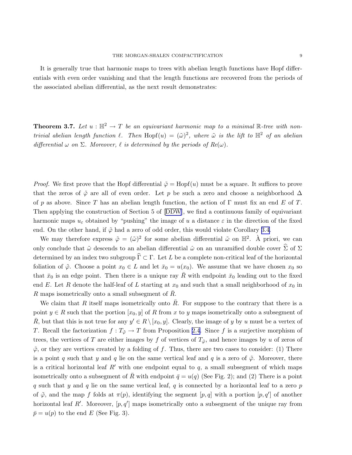<span id="page-8-0"></span>It is generally true that harmonic maps to trees with abelian length functions have Hopf differentials with even order vanishing and that the length functions are recovered from the periods of the associated abelian differential, as the next result demonstrates:

**Theorem 3.7.** Let  $u : \mathbb{H}^2 \to T$  be an equivariant harmonic map to a minimal R-tree with non*trivial abelian length function*  $\ell$ . Then  $\text{Hopf}(u) = (\tilde{\omega})^2$ , where  $\tilde{\omega}$  is the lift to  $\mathbb{H}^2$  of an abelian *differential*  $\omega$  *on*  $\Sigma$ *. Moreover,*  $\ell$  *is determined by the periods of Re(* $\omega$ *).* 

*Proof.* We first prove that the Hopf differential  $\tilde{\varphi} =$  Hopf(u) must be a square. It suffices to prove that the zeros of  $\tilde{\varphi}$  are all of even order. Let p be such a zero and choose a neighborhood  $\Delta$ of p as above. Since T has an abelian length function, the action of  $\Gamma$  must fix an end E of T. Then applying the construction of Section 5 of[[DDW](#page-16-0)], we find a continuous family of equivariant harmonic maps  $u_{\varepsilon}$  obtained by "pushing" the image of u a distance  $\varepsilon$  in the direction of the fixed end. On the other hand, if  $\tilde{\varphi}$  had a zero of odd order, this would violate Corollary [3.4.](#page-7-0)

We may therefore express  $\tilde{\varphi} = (\tilde{\omega})^2$  for some abelian differential  $\tilde{\omega}$  on  $\mathbb{H}^2$ . À priori, we can only conclude that  $\tilde{\omega}$  descends to an abelian differential  $\hat{\omega}$  on an unramified double cover  $\hat{\Sigma}$  of  $\Sigma$ determined by an index two subgroup  $\hat{\Gamma} \subset \Gamma$ . Let L be a complete non-critical leaf of the horizontal foliation of  $\tilde{\varphi}$ . Choose a point  $x_0 \in L$  and let  $\bar{x}_0 = u(x_0)$ . We assume that we have chosen  $x_0$  so that  $\bar{x}_0$  is an edge point. Then there is a unique ray  $\bar{R}$  with endpoint  $\bar{x}_0$  leading out to the fixed end E. Let R denote the half-leaf of L starting at  $x_0$  and such that a small neighborhood of  $x_0$  in R maps isometrically onto a small subsegment of  $\bar{R}$ .

We claim that R itself maps isometrically onto R. For suppose to the contrary that there is a point  $y \in R$  such that the portion  $[x_0, y]$  of R from x to y maps isometrically onto a subsegment of  $\overline{R}$ , but that this is not true for any  $y' \in R \setminus [x_0, y]$ . Clearly, the image of y by u must be a vertex of T. Recall the factorization  $f: T_{\tilde{\varphi}} \to T$  from Proposition [2.4.](#page-5-0) Since f is a surjective morphism of trees, the vertices of T are either images by f of vertices of  $T_{\tilde{\varphi}}$ , and hence images by u of zeros of  $\tilde{\varphi}$ , or they are vertices created by a folding of f. Thus, there are two cases to consider: (1) There is a point q such that y and q lie on the same vertical leaf and q is a zero of  $\tilde{\varphi}$ . Moreover, there is a critical horizontal leaf  $R'$  with one endpoint equal to  $q$ , a small subsegment of which maps isometrically onto a subsegment of R with endpoint  $\bar{q} = u(q)$  (See Fig. 2); and (2) There is a point q such that y and q lie on the same vertical leaf, q is connected by a horizontal leaf to a zero  $p$ of  $\tilde{\varphi}$ , and the map f folds at  $\pi(p)$ , identifying the segment  $[p,q]$  with a portion  $[p,q']$  of another horizontal leaf  $R'$ . Moreover,  $[p, q']$  maps isometrically onto a subsegment of the unique ray from  $\bar{p} = u(p)$  to the end E (See Fig. 3).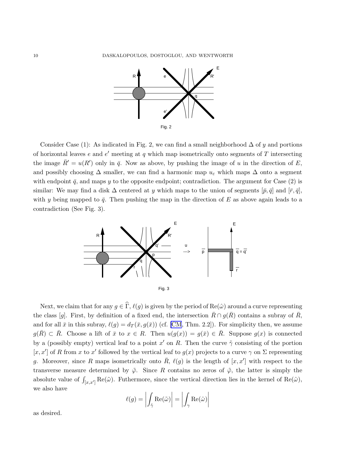

Consider Case (1): As indicated in Fig. 2, we can find a small neighborhood  $\Delta$  of y and portions of horizontal leaves e and  $e'$  meeting at q which map isometrically onto segments of T intersecting the image  $\bar{R}' = u(R')$  only in  $\bar{q}$ . Now as above, by pushing the image of u in the direction of E, and possibly choosing  $\Delta$  smaller, we can find a harmonic map  $u_{\varepsilon}$  which maps  $\Delta$  onto a segment with endpoint  $\bar{q}$ , and maps y to the opposite endpoint; contradiction. The argument for Case (2) is similar: We may find a disk  $\Delta$  centered at y which maps to the union of segments  $[\bar{p}, \bar{q}]$  and  $[\bar{r}, \bar{q}]$ , with y being mapped to  $\bar{q}$ . Then pushing the map in the direction of E as above again leads to a contradiction (See Fig. 3).



Next, we claim that for any  $g \in \hat{\Gamma}$ ,  $\ell(g)$  is given by the period of  $\text{Re}(\hat{\omega})$  around a curve representing the class [g]. First, by definition of a fixed end, the intersection  $\bar{R} \cap g(\bar{R})$  contains a subray of  $\bar{R}$ , and for all  $\bar{x}$  in this subray,  $\ell(g) = d_T(\bar{x}, g(\bar{x}))$  (cf. [\[CM](#page-16-0), Thm. 2.2]). For simplicity then, we assume  $g(\overline{R}) \subset \overline{R}$ . Choose a lift of  $\overline{x}$  to  $x \in R$ . Then  $u(g(x)) = g(\overline{x}) \in \overline{R}$ . Suppose  $g(x)$  is connected by a (possibly empty) vertical leaf to a point  $x'$  on R. Then the curve  $\tilde{\gamma}$  consisting of the portion [x, x'] of R from x to x' followed by the vertical leaf to  $g(x)$  projects to a curve  $\gamma$  on  $\Sigma$  representing g. Moreover, since R maps isometrically onto  $\overline{R}$ ,  $\ell(g)$  is the length of  $[x, x']$  with respect to the transverse measure determined by  $\tilde{\varphi}$ . Since R contains no zeros of  $\tilde{\varphi}$ , the latter is simply the absolute value of  $\int_{[x,x']} \text{Re}(\tilde{\omega})$ . Futhermore, since the vertical direction lies in the kernel of  $\text{Re}(\tilde{\omega})$ , we also have

$$
\ell(g) = \left| \int_{\tilde{\gamma}} \text{Re}(\tilde{\omega}) \right| = \left| \int_{\gamma} \text{Re}(\hat{\omega}) \right|
$$

as desired.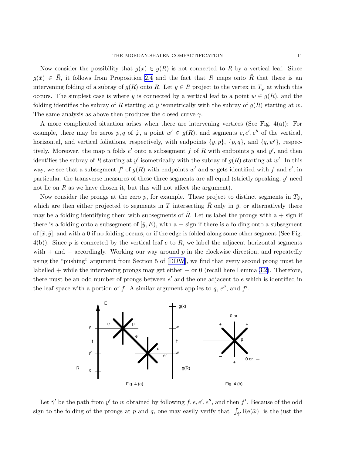Now consider the possibility that  $g(x) \in g(R)$  is not connected to R by a vertical leaf. Since  $g(\bar{x}) \in \bar{R}$ , it follows from Proposition [2.4](#page-5-0) and the fact that R maps onto  $\bar{R}$  that there is an intervening folding of a subray of  $g(R)$  onto R. Let  $y \in R$  project to the vertex in  $T_{\tilde{\varphi}}$  at which this occurs. The simplest case is where y is connected by a vertical leaf to a point  $w \in g(R)$ , and the folding identifies the subray of R starting at y isometrically with the subray of  $g(R)$  starting at w. The same analysis as above then produces the closed curve  $\gamma$ .

A more complicated situation arises when there are intervening vertices (See Fig. 4(a)): For example, there may be zeros  $p, q$  of  $\tilde{\varphi}$ , a point  $w' \in g(R)$ , and segments  $e, e', e''$  of the vertical, horizontal, and vertical foliations, respectively, with endpoints  $\{y, p\}$ ,  $\{p, q\}$ , and  $\{q, w'\}$ , respectively. Moreover, the map u folds  $e'$  onto a subsegment f of R with endpoints y and y', and then identifies the subray of R starting at y' isometrically with the subray of  $g(R)$  starting at w'. In this way, we see that a subsegment f' of  $g(R)$  with endpoints w' and w gets identified with f and e'; in particular, the transverse measures of these three segments are all equal (strictly speaking,  $y'$  need not lie on  $R$  as we have chosen it, but this will not affect the argument).

Now consider the prongs at the zero p, for example. These project to distinct segments in  $T_{\tilde{\varphi}}$ , which are then either projected to segments in T intersecting R only in  $\bar{y}$ , or alternatively there may be a folding identifying them with subsegments of  $\overline{R}$ . Let us label the prongs with a + sign if there is a folding onto a subsegment of  $[\bar{y}, E)$ , with a – sign if there is a folding onto a subsegment of  $[\bar{x}, \bar{y}]$ , and with a 0 if no folding occurs, or if the edge is folded along some other segment (See Fig.  $4(b)$ ). Since p is connected by the vertical leaf e to R, we label the adjacent horizontal segments with  $+$  and  $-$  accordingly. Working our way around p in the clockwise direction, and repeatedly using the "pushing" argument from Section 5 of[[DDW](#page-16-0)], we find that every second prong must be labelled + while the intervening prongs may get either  $-$  or 0 (recall here Lemma [3.2\)](#page-6-0). Therefore, there must be an odd number of prongs between  $e'$  and the one adjacent to  $e$  which is identified in the leaf space with a portion of f. A similar argument applies to  $q, e''$ , and  $f'$ .



Let  $\tilde{\gamma}'$  be the path from  $y'$  to w obtained by following  $f, e, e', e'',$  and then  $f'$ . Because of the odd sign to the folding of the prongs at p and q, one may easily verify that  $\int_{\tilde{\gamma}'} \text{Re}(\tilde{\omega})\, \bigg|$  is the just the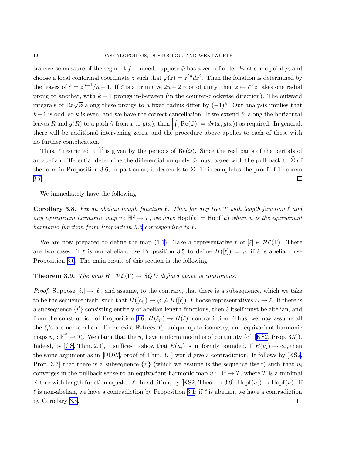<span id="page-11-0"></span>transverse measure of the segment f. Indeed, suppose  $\tilde{\varphi}$  has a zero of order 2n at some point p, and choose a local conformal coordinate z such that  $\tilde{\varphi}(z) = z^{2n} dz^2$ . Then the foliation is determined by the leaves of  $\xi = z^{n+1}/n+1$ . If  $\zeta$  is a primitive  $2n+2$  root of unity, then  $z \mapsto \zeta^k z$  takes one radial prong to another, with  $k - 1$  prongs in-between (in the counter-clockwise direction). The outward integrals of Re $\sqrt{\tilde{\varphi}}$  along these prongs to a fixed radius differ by  $(-1)^k$ . Our analysis implies that k −1 is odd, so k is even, and we have the correct cancellation. If we extend  $\tilde{\gamma}'$  along the horizontal leaves R and  $g(R)$  to a path  $\tilde{\gamma}$  from x to  $g(x)$ , then  $\int_{\tilde{\gamma}} \text{Re}(\tilde{\omega})\Big| = d_T(\bar{x}, g(\bar{x}))$  as required. In general, there will be additional intervening zeros, and the procedure above applies to each of these with no further complication.

Thus,  $\ell$  restricted to  $\widehat{\Gamma}$  is given by the periods of Re( $\hat{\omega}$ ). Since the real parts of the periods of an abelian differential determine the differential uniquely,  $\hat{\omega}$  must agree with the pull-back to  $\hat{\Sigma}$  of the form in Proposition [3.6](#page-7-0); in particular, it descends to  $\Sigma$ . This completes the proof of Theorem [3.7.](#page-8-0)  $\Box$ 

We immediately have the following:

**Corollary 3.8.** Fix an abelian length function  $\ell$ . Then for any tree T with length function  $\ell$  and *any equivariant harmonic map*  $v : \mathbb{H}^2 \to T$ , we have  $\text{Hopf}(v) = \text{Hopf}(u)$  where u is the equivariant *harmonic function from Proposition [3.6](#page-7-0) corresponding to* ℓ*.*

Weare now prepared to define the map ([1.1](#page-1-0)). Take a representative  $\ell$  of  $[\ell] \in \mathcal{PL}(\Gamma)$ . There are two cases: if  $\ell$  is non-abelian, use Proposition [3.5](#page-7-0) to define  $H(|\ell|) = \varphi$ ; if  $\ell$  is abelian, use Proposition [3.6](#page-7-0). The main result of this section is the following:

### **Theorem 3.9.** *The map*  $H : \mathcal{PL}(\Gamma) \to SQD$  *defined above is continuous.*

*Proof.* Suppose  $[\ell_i] \to [\ell]$ , and assume, to the contrary, that there is a subsequence, which we take to be the sequence itself, such that  $H([\ell_i]) \to \varphi \neq H([\ell])$ . Choose representatives  $\ell_i \to \ell$ . If there is a subsequence  $\{i'\}$  consisting entirely of abelian length functions, then  $\ell$  itself must be abelian, and from the construction of Proposition [3.6,](#page-7-0)  $H(\ell_{i'}) \to H(\ell)$ ; contradiction. Thus, we may assume all the  $\ell_i$ 's are non-abelian. There exist R-trees  $T_i$ , unique up to isometry, and equivariant harmonic maps  $u_i : \mathbb{H}^2 \to T_i$ . We claim that the  $u_i$  have uniform modulus of continuity (cf. [\[KS2](#page-16-0), Prop. 3.7]). Indeed, by [\[GS](#page-16-0), Thm. 2.4], it suffices to show that  $E(u_i)$  is uniformly bounded. If  $E(u_i) \to \infty$ , then the same argument as in [\[DDW](#page-16-0), proof of Thm. 3.1] would give a contradiction. It follows by[[KS2,](#page-16-0) Prop. 3.7] that there is a subsequence  $\{i'\}$  (which we assume is the sequence itself) such that  $u_i$ converges in the pullback sense to an equivariant harmonic map  $u : \mathbb{H}^2 \to T$ , where T is a minimal R-treewith length function equal to  $\ell$ . In addition, by [[KS2,](#page-16-0) Theorem 3.9], Hopf $(u_i) \to \text{Hopf}(u)$ . If  $\ell$  is non-abelian, we have a contradiction by Proposition [3.1](#page-5-0); if  $\ell$  is abelian, we have a contradiction by Corollary 3.8. $\Box$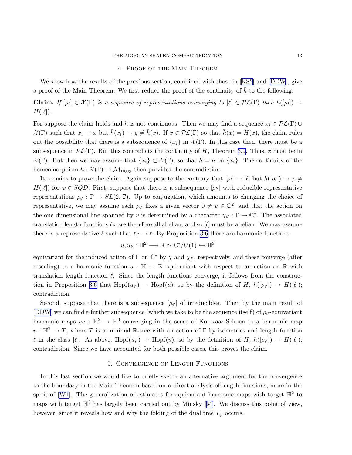## 4. Proof of the Main Theorem

Weshow how the results of the previous section, combined with those in [[KS2\]](#page-16-0) and [\[DDW](#page-16-0)], give a proof of the Main Theorem. We first reduce the proof of the continuity of  $h$  to the following:

**Claim.** If  $[\rho_i] \in \mathcal{X}(\Gamma)$  is a sequence of representations converging to  $[\ell] \in \mathcal{PL}(\Gamma)$  then  $h([\rho_i]) \to$  $H([\ell]).$ 

For suppose the claim holds and  $\bar{h}$  is not continuous. Then we may find a sequence  $x_i \in \mathcal{PL}(\Gamma) \cup$  $\mathcal{X}(\Gamma)$  such that  $x_i \to x$  but  $\bar{h}(x_i) \to y \neq \bar{h}(x)$ . If  $x \in \mathcal{PL}(\Gamma)$  so that  $\bar{h}(x) = H(x)$ , the claim rules out the possibility that there is a subsequence of  $\{x_i\}$  in  $\mathcal{X}(\Gamma)$ . In this case then, there must be a subsequence in  $\mathcal{PL}(\Gamma)$ . But this contradicts the continuity of H, Theorem [3.9](#page-11-0). Thus, x must be in  $\mathcal{X}(\Gamma)$ . But then we may assume that  $\{x_i\} \subset \mathcal{X}(\Gamma)$ , so that  $h = h$  on  $\{x_i\}$ . The continuity of the homeomorphism  $h : \mathcal{X}(\Gamma) \to \mathcal{M}_{\text{Higgs}}$  then provides the contradiction.

It remains to prove the claim. Again suppose to the contrary that  $[\rho_i] \to [\ell]$  but  $h([\rho_i]) \to \varphi \neq$  $H([\ell])$  for  $\varphi \in SQD$ . First, suppose that there is a subsequence  $[\rho_{i'}]$  with reducible representative representations  $\rho_{i'} : \Gamma \to SL(2, \mathbb{C})$ . Up to conjugation, which amounts to changing the choice of representative, we may assume each  $\rho_{i'}$  fixes a given vector  $0 \neq v \in \mathbb{C}^2$ , and that the action on the one dimensional line spanned by v is determined by a character  $\chi_{i'} : \Gamma \to \mathbb{C}^*$ . The associated translation length functions  $\ell_{i'}$  are therefore all abelian, and so  $[\ell]$  must be abelian. We may assume there is a representative  $\ell$  such that  $\ell_{i'} \to \ell$ . By Proposition [3.6](#page-7-0) there are harmonic functions

$$
u, u_{i'} : \mathbb{H}^2 \longrightarrow \mathbb{R} \simeq \mathbb{C}^*/U(1) \hookrightarrow \mathbb{H}^3
$$

equivariant for the induced action of  $\Gamma$  on  $\mathbb{C}^*$  by  $\chi$  and  $\chi_{i'}$ , respectively, and these converge (after rescaling) to a harmonic function  $u : \mathbb{H} \to \mathbb{R}$  equivariant with respect to an action on  $\mathbb{R}$  with translation length function  $\ell$ . Since the length functions converge, it follows from the construc-tion in Proposition [3.6](#page-7-0) that  $Hopf(u_{i'}) \to Hopf(u)$ , so by the definition of H,  $h([\rho_{i'}]) \to H([\ell]);$ contradiction.

Second, suppose that there is a subsequence  $[\rho_{i'}]$  of irreducibles. Then by the main result of [[DDW](#page-16-0)] we can find a further subsequence (which we take to be the sequence itself) of  $\rho_{i'}$ -equivariant harmonic maps  $u_{i'} : \mathbb{H}^2 \to \mathbb{H}^3$  converging in the sense of Korevaar-Schoen to a harmonic map  $u : \mathbb{H}^2 \to T$ , where T is a minimal R-tree with an action of  $\Gamma$  by isometries and length function l in the class [le]. As above,  $Hopf(u_{i'}) \rightarrow Hopf(u)$ , so by the definition of H,  $h([\rho_{i'}]) \rightarrow H([\ell]);$ contradiction. Since we have accounted for both possible cases, this proves the claim.

## 5. Convergence of Length Functions

In this last section we would like to briefly sketch an alternative argument for the convergence to the boundary in the Main Theorem based on a direct analysis of length functions, more in the spirit of [\[W1\]](#page-16-0). The generalization of estimates for equivariant harmonic maps with target  $\mathbb{H}^2$  to mapswith target  $\mathbb{H}^3$  has largely been carried out by Minsky [[M\]](#page-16-0). We discuss this point of view, however, since it reveals how and why the folding of the dual tree  $T_{\tilde{\varphi}}$  occurs.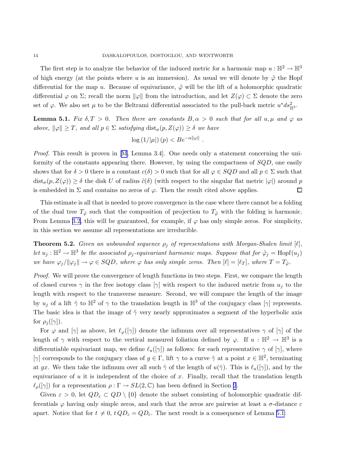The first step is to analyze the behavior of the induced metric for a harmonic map  $u : \mathbb{H}^2 \to \mathbb{H}^3$ of high energy (at the points where u is an immersion). As usual we will denote by  $\tilde{\varphi}$  the Hopf differential for the map u. Because of equivariance,  $\tilde{\varphi}$  will be the lift of a holomorphic quadratic differential  $\varphi$  on  $\Sigma$ ; recall the norm  $\|\varphi\|$  from the introduction, and let  $Z(\varphi) \subset \Sigma$  denote the zero set of  $\varphi$ . We also set  $\mu$  to be the Beltrami differential associated to the pull-back metric  $u^*ds_{\mathbb{H}^3}^2$ .

**Lemma 5.1.** *Fix*  $\delta, T > 0$ . *Then there are constants*  $B, \alpha > 0$  *such that for all*  $u, \mu$  *and*  $\varphi$  *as above,*  $\|\varphi\| \geq T$ *, and all*  $p \in \Sigma$  *satisfying* dist<sub> $\sigma$ </sub> $(p, Z(\varphi)) \geq \delta$  *we have* 

$$
\log\left(1/|\mu|\right)(p) < B e^{-\alpha||\varphi||}
$$

.

*Proof.* This result is proven in [\[M](#page-16-0), Lemma 3.4]. One needs only a statement concerning the uniformity of the constants appearing there. However, by using the compactness of SQD, one easily shows that for  $\delta > 0$  there is a constant  $c(\delta) > 0$  such that for all  $\varphi \in SQD$  and all  $p \in \Sigma$  such that  $dist_{\sigma}(p, Z(\varphi)) \geq \delta$  the disk U of radius  $\tilde{c}(\delta)$  (with respect to the singular flat metric  $|\varphi|$ ) around p is embedded in  $\Sigma$  and contains no zeros of  $\varphi$ . Then the result cited above applies.  $\Box$ 

This estimate is all that is needed to prove convergence in the case where there cannot be a folding of the dual tree  $T_{\tilde{\varphi}}$  such that the composition of projection to  $T_{\tilde{\varphi}}$  with the folding is harmonic. From Lemma [3.2,](#page-6-0) this will be guaranteed, for example, if  $\varphi$  has only simple zeros. For simplicity, in this section we assume all representations are irreducible.

**Theorem 5.2.** *Given an unbounded sequence*  $\rho_j$  *of representations with Morgan-Shalen limit* [ $\ell$ ]*, let*  $u_j : \mathbb{H}^2 \to \mathbb{H}^3$  *be the associated*  $\rho_j$ -equivariant harmonic maps. Suppose that for  $\tilde{\varphi}_j = \text{Hopf}(u_j)$ *we have*  $\varphi_j / ||\varphi_j|| \to \varphi \in SQD$ *, where*  $\varphi$  *has only simple zeros. Then*  $[\ell] = [\ell_T]$ *, where*  $T = T_{\tilde{\varphi}}$ *.* 

*Proof.* We will prove the convergence of length functions in two steps. First, we compare the length of closed curves  $\gamma$  in the free isotopy class  $[\gamma]$  with respect to the induced metric from  $u_i$  to the length with respect to the transverse measure. Second, we will compare the length of the image by  $u_j$  of a lift  $\tilde{\gamma}$  to  $\mathbb{H}^2$  of  $\gamma$  to the translation length in  $\mathbb{H}^3$  of the conjugacy class  $[\gamma]$  represents. The basic idea is that the image of  $\tilde{\gamma}$  very nearly approximates a segment of the hyperbolic axis for  $\rho_j([\gamma]).$ 

For  $\varphi$  and  $[\gamma]$  as above, let  $\ell_{\varphi}([\gamma])$  denote the infimum over all representatives  $\gamma$  of  $[\gamma]$  of the length of  $\gamma$  with respect to the vertical measured foliation defined by  $\varphi$ . If  $u : \mathbb{H}^2 \to \mathbb{H}^3$  is a differentiable equivariant map, we define  $\ell_u([\gamma])$  as follows: for each representative  $\gamma$  of  $[\gamma]$ , where [ $\gamma$ ] corresponds to the conjugacy class of  $g \in \Gamma$ , lift  $\gamma$  to a curve  $\tilde{\gamma}$  at a point  $x \in \mathbb{H}^2$ , terminating at gx. We then take the infimum over all such  $\tilde{\gamma}$  of the length of  $u(\tilde{\gamma})$ . This is  $\ell_u([\gamma])$ , and by the equivariance of  $u$  it is independent of the choice of  $x$ . Finally, recall that the translation length  $\ell_{\rho}([\gamma])$  for a representation  $\rho : \Gamma \to SL(2,\mathbb{C})$  has been defined in Section [2](#page-2-0).

Given  $\varepsilon > 0$ , let  $QD_{\varepsilon} \subset QD \setminus \{0\}$  denote the subset consisting of holomorphic quadratic differentials  $\varphi$  having only simple zeros, and such that the zeros are pairwise at least a  $\sigma$ -distance  $\varepsilon$ apart. Notice that for  $t \neq 0$ ,  $t Q D_{\varepsilon} = Q D_{\varepsilon}$ . The next result is a consequence of Lemma 5.1:

<span id="page-13-0"></span>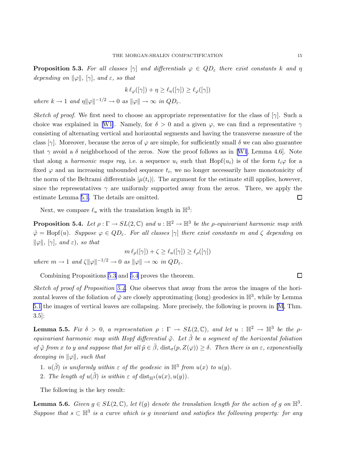<span id="page-14-0"></span>**Proposition 5.3.** For all classes  $[\gamma]$  and differentials  $\varphi \in QD_{\varepsilon}$  there exist constants k and  $\eta$ *depending on*  $\|\varphi\|$ *,*  $[\gamma]$ *, and*  $\varepsilon$ *, so that* 

$$
k\,\ell_{\varphi}([\gamma]) + \eta \ge \ell_u([\gamma]) \ge \ell_{\varphi}([\gamma])
$$

*where*  $k \to 1$  *and*  $\eta \|\varphi\|^{-1/2} \to 0$  *as*  $\|\varphi\| \to \infty$  *in*  $QD_{\varepsilon}$ *.* 

*Sketch of proof.* We first need to choose an appropriate representative for the class of  $[\gamma]$ . Such a choice was explained in [\[W1\]](#page-16-0). Namely, for  $\delta > 0$  and a given  $\varphi$ , we can find a representative  $\gamma$ consisting of alternating vertical and horizontal segments and having the transverse measure of the class  $[\gamma]$ . Moreover, because the zeros of  $\varphi$  are simple, for sufficiently small  $\delta$  we can also guarantee that $\gamma$  avoid a  $\delta$  neighborhood of the zeros. Now the proof follows as in [[W1](#page-16-0), Lemma 4.6]. Note that along a *harmonic maps ray*, i.e. a sequence  $u_i$  such that Hopf( $u_i$ ) is of the form  $t_i\varphi$  for a fixed  $\varphi$  and an increasing unbounded sequence  $t_i$ , we no longer necessarily have monotonicity of the norm of the Beltrami differentials  $|\mu(t_i)|$ . The argument for the estimate still applies, however, since the representatives  $\gamma$  are uniformly supported away from the zeros. There, we apply the estimate Lemma [5.1](#page-13-0). The details are omitted.  $\Box$ 

Next, we compare  $\ell_u$  with the translation length in  $\mathbb{H}^3$ :

**Proposition 5.4.** Let  $\rho : \Gamma \to SL(2, \mathbb{C})$  and  $u : \mathbb{H}^2 \to \mathbb{H}^3$  be the  $\rho$ -equivariant harmonic map with  $\tilde{\varphi} = \text{Hopf}(u)$ *. Suppose*  $\varphi \in QD_{\varepsilon}$ *. For all classes*  $[\gamma]$  *there exist constants* m and  $\zeta$  *depending on*  $\|\varphi\|, \ [\gamma], \ and \ \varepsilon), \ so \ that$ 

$$
m \,\ell_{\rho}([\gamma]) + \zeta \ge \ell_u([\gamma]) \ge \ell_{\rho}([\gamma])
$$
  
where  $m \to 1$  and  $\zeta ||\varphi||^{-1/2} \to 0$  as  $||\varphi|| \to \infty$  in  $QD_{\varepsilon}$ .

Combining Propositions [5.3](#page-13-0) and 5.4 proves the theorem.

*Sketch of proof of Proposition 5.4.* One observes that away from the zeros the images of the horizontal leaves of the foliation of  $\tilde{\varphi}$  are closely approximating (long) geodesics in  $\mathbb{H}^3$ , while by Lemma [5.1](#page-13-0) the images of vertical leaves are collapsing. More precisely, the following is proven in [\[M](#page-16-0), Thm. 3.5]:

**Lemma 5.5.** *Fix*  $\delta > 0$ , a representation  $\rho : \Gamma \to SL(2, \mathbb{C})$ , and let  $u : \mathbb{H}^2 \to \mathbb{H}^3$  be the  $\rho$ *equivariant harmonic map with Hopf differential* ϕ˜*. Let* β˜ *be a segment of the horizontal foliation*  $of \tilde{\varphi}$  *from* x *to* y and suppose that for all  $\tilde{p} \in \tilde{\beta}$ , dist<sub> $\sigma$ </sub> $(p, Z(\varphi)) \geq \delta$ . Then there is an  $\varepsilon$ , exponentially *decaying in*  $\|\varphi\|$ *, such that* 

- 1.  $u(\tilde{\beta})$  *is uniformly within*  $\varepsilon$  *of the geodesic in*  $\mathbb{H}^3$  *from*  $u(x)$  *to*  $u(y)$ *.*
- 2. The length of  $u(\tilde{\beta})$  is within  $\varepsilon$  of dist<sub>H3</sub> $(u(x),u(y))$ .

The following is the key result:

**Lemma 5.6.** *Given*  $g \in SL(2, \mathbb{C})$ *, let*  $\ell(g)$  *denote the translation length for the action of* g on  $\mathbb{H}^3$ *.*  $Suppose that s \subset \mathbb{H}^3$  *is a curve which is g invariant and satisfies the following property: for any* 

 $\Box$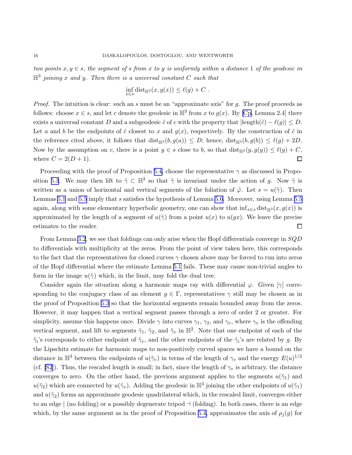$two \ points x, y \in s$ , the segment of s from x to y is uniformly within a distance 1 of the geodesic in H3 *joining* x *and* y*. Then there is a universal constant* C *such that*

$$
\inf_{x\in s} \text{dist}_{\mathbb{H}^3}(x, g(x)) \le \ell(g) + C.
$$

*Proof.* The intuition is clear: such an s must be an "approximate axis" for g. The proof proceeds as follows: choose  $x \in s$ , and let c denote the geodesic in  $\mathbb{H}^3$  from x to  $g(x)$ . By [\[Cp](#page-16-0), Lemma 2.4] there exists a universal constant D and a subgeodesic  $\tilde{c}$  of c with the property that  $|\text{length}(\tilde{c}) - \ell(g)| \leq D$ . Let a and b be the endpoints of  $\tilde{c}$  closest to x and  $q(x)$ , respectively. By the construction of  $\tilde{c}$  in the reference cited above, it follows that  $dist_{\mathbb{H}3}(b,g(a)) \leq D$ ; hence,  $dist_{\mathbb{H}3}(b,g(b)) \leq \ell(g) + 2D$ . Now by the assumption on c, there is a point  $y \in s$  close to b, so that  $dist_{\mathbb{H}^3}(y,g(y)) \leq \ell(g) + C$ , where  $C = 2(D + 1)$ .  $\Box$ 

Proceeding with the proof of Proposition [5.4,](#page-14-0) choose the representative  $\gamma$  as discussed in Propo-sition [5.3](#page-13-0). We may then lift to  $\tilde{\gamma} \subset \mathbb{H}^2$  so that  $\tilde{\gamma}$  is invariant under the action of g. Now  $\tilde{\gamma}$  is written as a union of horizontal and vertical segments of the foliation of  $\tilde{\varphi}$ . Let  $s = u(\tilde{\gamma})$ . Then Lemmas [5.1](#page-13-0) and [5.5](#page-14-0) imply that s satisfies the hypothesis of Lemma [5.6](#page-14-0). Moreover, using Lemma [5.5](#page-14-0) again, along with some elementary hyperbolic geometry, one can show that  $\inf_{x \in s} \text{dist}_{\mathbb{H}^3}(x,g(x))$  is approximated by the length of a segment of  $u(\tilde{\gamma})$  from a point  $u(x)$  to  $u(gx)$ . We leave the precise estimates to the reader.  $\Box$ 

From Lemma [3.2](#page-6-0), we see that foldings can only arise when the Hopf differentials converge in SQD to differentials with multiplicity at the zeros. From the point of view taken here, this corresponds to the fact that the representatives for closed curves  $\gamma$  chosen above may be forced to run into zeros of the Hopf differential where the estimate Lemma [5.1](#page-13-0) fails. These may cause non-trivial angles to form in the image  $u(\tilde{\gamma})$  which, in the limit, may fold the dual tree.

Consider again the situation along a harmonic maps ray with differential  $\varphi$ . Given  $[\gamma]$  corresponding to the conjugacy class of an element  $g \in \Gamma$ , representatives  $\gamma$  still may be chosen as in the proof of Proposition [5.3](#page-13-0) so that the horizontal segments remain bounded away from the zeros. However, it may happen that a vertical segment passes through a zero of order 2 or greater. For simplicity, assume this happens once. Divide  $\gamma$  into curves  $\gamma_1$ ,  $\gamma_2$ , and  $\gamma_v$ , where  $\gamma_v$  is the offending vertical segment, and lift to segments  $\tilde{\gamma}_1$ ,  $\tilde{\gamma}_2$ , and  $\tilde{\gamma}_v$  in  $\mathbb{H}^2$ . Note that one endpoint of each of the  $\tilde{\gamma}_i$ 's corresponds to either endpoint of  $\tilde{\gamma}_v$ , and the other endpoints of the  $\tilde{\gamma}_i$ 's are related by g. By the Lipschitz estimate for harmonic maps to non-positively curved spaces we have a bound on the distance in  $\mathbb{H}^3$  between the endpoints of  $u(\tilde{\gamma}_v)$  in terms of the length of  $\gamma_v$  and the energy  $E(u)^{1/2}$ (cf. [\[S2\]](#page-16-0)). Thus, the rescaled length is small; in fact, since the length of  $\gamma_v$  is arbitrary, the distance converges to zero. On the other hand, the previous argument applies to the segments  $u(\tilde{\gamma}_1)$  and  $u(\tilde{\gamma}_2)$  which are connected by  $u(\tilde{\gamma}_v)$ . Adding the geodesic in  $\mathbb{H}^3$  joining the other endpoints of  $u(\tilde{\gamma}_1)$ and  $u(\tilde{\gamma}_2)$  forms an approximate geodesic quadrilateral which, in the rescaled limit, converges either to an edge  $\vert$  (no folding) or a possibly degenerate tripod  $\neg$  (folding). In both cases, there is an edge which, by the same argument as in the proof of Proposition [5.4,](#page-14-0) approximates the axis of  $\rho_j(g)$  for